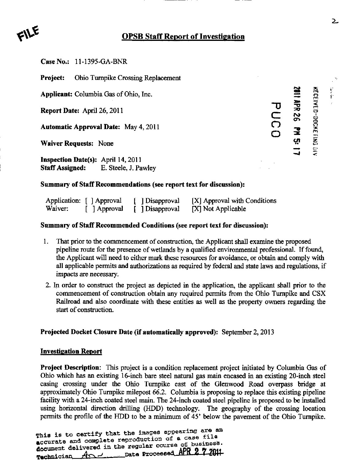# **OPSB Staff Report of Investigation**

Case No,: 11-1395-GA-BNR

Project: Ohio Turnpike Crossing Replacement

Report Date: April 26, 2011

**Automatic Approval Date: May 4, 2011** 

Waiver Requests: None

Inspection Date(s): April 14,2011 StafT Assigned: E. Steele, J. Pawley

Applicant: Columbia Gas of Ohio, Inc.<br>
Report Date: April 26, 2011<br>
Automatic Approval Date: May 4, 2011<br>
Waiver Requests: None<br>  $\frac{32}{5}$ <br>  $\frac{32}{5}$ <br>  $\frac{32}{5}$ <br>  $\frac{32}{5}$ <br>  $\frac{32}{5}$ <br>  $\frac{32}{5}$ <br>  $\frac{32}{5}$ <br>  $\frac{32}{5$ o ^ ?

## Summary of Staff Recommendations (see report text for discussion):

|         | Application: [ ] Approval | [ Disapproval   | $[X]$ Approval with Conditions |
|---------|---------------------------|-----------------|--------------------------------|
| Waiver: | [ ] Approval              | [ ] Disapproval | [X] Not Applicable             |

### Summary of Staff Recommended Conditions (see report text for discussion):

- 1. That prior to the commencement of construction, the Applicant shall examine the proposed pipeline route for the presence of wetlands by a qualified environmental professional. If found, the Applicant will need to either mark these resources for avoidance, or obtain and comply with all applicable permits and authorizations as required by federal and state laws and regulations, if impacts are necessary,
- 2. In order to construct the project as depicted in the application, the applicant shall prior to the commencement of construction obtain any required permits from the Ohio Turnpike and CSX Railroad and also coordinate with these entities as well as the property owners regarding the start of construction.

### Projected Docket Closure Date (if automatically approved): September 2,2013

#### Investigation Report

Project Description: This project is a condition replacement project initiated by Columbia Gas of Ohio which has an existing 16-inch bare steel natural gas main encased in an existing 20-inch steel casmg crossing under the Ohio Turnpike east of the Glenwood Road overpass bridge at approximately Ohio Turnpike milepost 66.2. Columbia is proposing to replace this existing pipeline facility with a 24-inch coated steel main. The 24-inch coated steel pipeline is proposed to be installed using horizontal direction drilling (HDD) technology. The geography of the crossing location permits the profile of the HDD to be a minimum of 45' below the pavement of the Ohio Turnpike.

This is to certify that the images appearing are an accurate and complete reproduction of a case file document dalivered in the regular course of business. Technician And Let Date Processed APR 2 7 2011

 $\overline{2}$ 

 $\mathcal{M} \rightarrow \mathcal{M}$  .